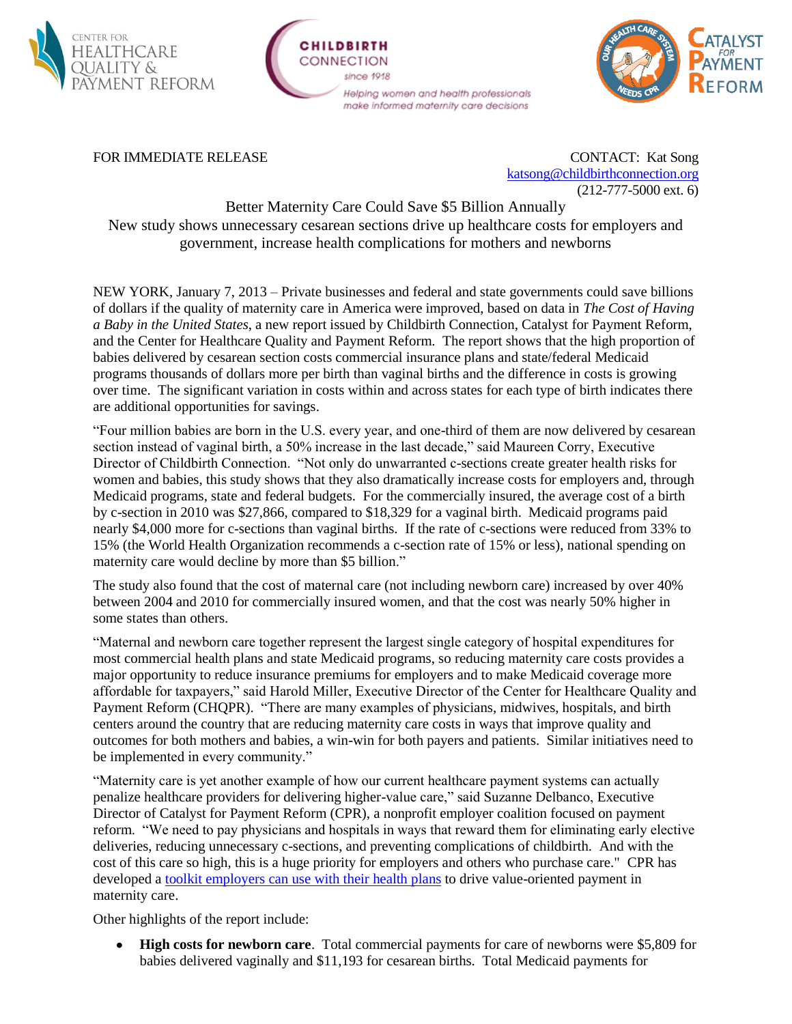

## CHILDRIDTH CONNECTION since 1918 Helping women and health professionals make informed maternity care decisions



FOR IMMEDIATE RELEASE CONTACT: Kat Song [katsong@childbirthconnection.org](mailto:katsong@childbirthconnection.org) (212-777-5000 ext. 6)

Better Maternity Care Could Save \$5 Billion Annually New study shows unnecessary cesarean sections drive up healthcare costs for employers and government, increase health complications for mothers and newborns

NEW YORK, January 7, 2013 – Private businesses and federal and state governments could save billions of dollars if the quality of maternity care in America were improved, based on data in *The Cost of Having a Baby in the United States*, a new report issued by Childbirth Connection, Catalyst for Payment Reform, and the Center for Healthcare Quality and Payment Reform. The report shows that the high proportion of babies delivered by cesarean section costs commercial insurance plans and state/federal Medicaid programs thousands of dollars more per birth than vaginal births and the difference in costs is growing over time. The significant variation in costs within and across states for each type of birth indicates there are additional opportunities for savings.

"Four million babies are born in the U.S. every year, and one-third of them are now delivered by cesarean section instead of vaginal birth, a 50% increase in the last decade," said Maureen Corry, Executive Director of Childbirth Connection. "Not only do unwarranted c-sections create greater health risks for women and babies, this study shows that they also dramatically increase costs for employers and, through Medicaid programs, state and federal budgets. For the commercially insured, the average cost of a birth by c-section in 2010 was \$27,866, compared to \$18,329 for a vaginal birth. Medicaid programs paid nearly \$4,000 more for c-sections than vaginal births. If the rate of c-sections were reduced from 33% to 15% (the World Health Organization recommends a c-section rate of 15% or less), national spending on maternity care would decline by more than \$5 billion."

The study also found that the cost of maternal care (not including newborn care) increased by over 40% between 2004 and 2010 for commercially insured women, and that the cost was nearly 50% higher in some states than others.

"Maternal and newborn care together represent the largest single category of hospital expenditures for most commercial health plans and state Medicaid programs, so reducing maternity care costs provides a major opportunity to reduce insurance premiums for employers and to make Medicaid coverage more affordable for taxpayers," said Harold Miller, Executive Director of the Center for Healthcare Quality and Payment Reform (CHQPR). "There are many examples of physicians, midwives, hospitals, and birth centers around the country that are reducing maternity care costs in ways that improve quality and outcomes for both mothers and babies, a win-win for both payers and patients. Similar initiatives need to be implemented in every community."

"Maternity care is yet another example of how our current healthcare payment systems can actually penalize healthcare providers for delivering higher-value care," said Suzanne Delbanco, Executive Director of Catalyst for Payment Reform (CPR), a nonprofit employer coalition focused on payment reform. "We need to pay physicians and hospitals in ways that reward them for eliminating early elective deliveries, reducing unnecessary c-sections, and preventing complications of childbirth. And with the cost of this care so high, this is a huge priority for employers and others who purchase care." CPR has developed a [toolkit employers can use with their health plans](http://www.catalyzepaymentreform.org/Maternity_Care_Payment.html) to drive value-oriented payment in maternity care.

Other highlights of the report include:

**High costs for newborn care**. Total commercial payments for care of newborns were \$5,809 for babies delivered vaginally and \$11,193 for cesarean births. Total Medicaid payments for